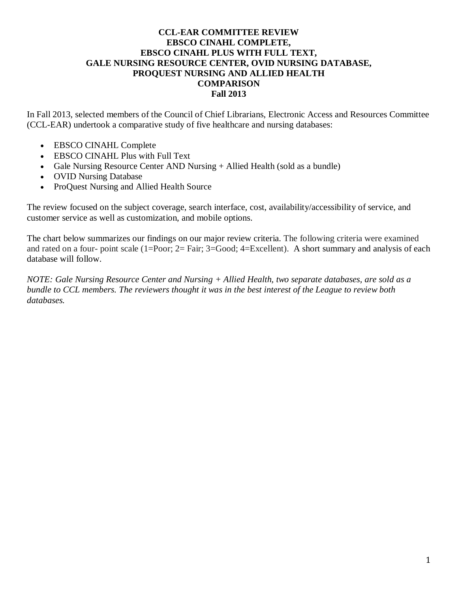## **CCL-EAR COMMITTEE REVIEW EBSCO CINAHL COMPLETE, EBSCO CINAHL PLUS WITH FULL TEXT, GALE NURSING RESOURCE CENTER, OVID NURSING DATABASE, PROQUEST NURSING AND ALLIED HEALTH COMPARISON Fall 2013**

In Fall 2013, selected members of the Council of Chief Librarians, Electronic Access and Resources Committee (CCL-EAR) undertook a comparative study of five healthcare and nursing databases:

- EBSCO CINAHL Complete
- EBSCO CINAHL Plus with Full Text
- Gale Nursing Resource Center AND Nursing + Allied Health (sold as a bundle)
- OVID Nursing Database
- ProQuest Nursing and Allied Health Source

The review focused on the subject coverage, search interface, cost, availability/accessibility of service, and customer service as well as customization, and mobile options.

The chart below summarizes our findings on our major review criteria. The following criteria were examined and rated on a four- point scale (1=Poor; 2= Fair; 3=Good; 4=Excellent). A short summary and analysis of each database will follow.

*NOTE: Gale Nursing Resource Center and Nursing + Allied Health, two separate databases, are sold as a bundle to CCL members. The reviewers thought it was in the best interest of the League to review both databases.*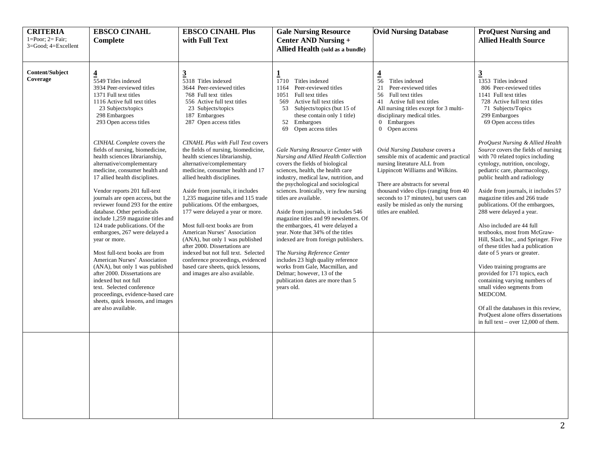| <b>CRITERIA</b><br>$1 = Poor$ ; $2 = Fair$ ;<br>3=Good; 4=Excellent | <b>EBSCO CINAHL</b><br>Complete                                                                                                                                                                                                                                                                                                                                                                                                                                                                                                                                                                                                                                                                                                                                                                                                                                                                                                                      | <b>EBSCO CINAHL Plus</b><br>with Full Text                                                                                                                                                                                                                                                                                                                                                                                                                                                                                                                                                                                                                                                                                                                                                                                                               | <b>Gale Nursing Resource</b><br><b>Center AND Nursing +</b><br>Allied Health (sold as a bundle)                                                                                                                                                                                                                                                                                                                                                                                                                                                                                                                                                                                                                                                                                                                                                                                                                                                      | <b>Ovid Nursing Database</b>                                                                                                                                                                                                                                                                                                                                                                                                                                                                                                                                     | <b>ProQuest Nursing and</b><br><b>Allied Health Source</b>                                                                                                                                                                                                                                                                                                                                                                                                                                                                                                                                                                                                                                                                                                                                                                                                                                                                                                                                  |
|---------------------------------------------------------------------|------------------------------------------------------------------------------------------------------------------------------------------------------------------------------------------------------------------------------------------------------------------------------------------------------------------------------------------------------------------------------------------------------------------------------------------------------------------------------------------------------------------------------------------------------------------------------------------------------------------------------------------------------------------------------------------------------------------------------------------------------------------------------------------------------------------------------------------------------------------------------------------------------------------------------------------------------|----------------------------------------------------------------------------------------------------------------------------------------------------------------------------------------------------------------------------------------------------------------------------------------------------------------------------------------------------------------------------------------------------------------------------------------------------------------------------------------------------------------------------------------------------------------------------------------------------------------------------------------------------------------------------------------------------------------------------------------------------------------------------------------------------------------------------------------------------------|------------------------------------------------------------------------------------------------------------------------------------------------------------------------------------------------------------------------------------------------------------------------------------------------------------------------------------------------------------------------------------------------------------------------------------------------------------------------------------------------------------------------------------------------------------------------------------------------------------------------------------------------------------------------------------------------------------------------------------------------------------------------------------------------------------------------------------------------------------------------------------------------------------------------------------------------------|------------------------------------------------------------------------------------------------------------------------------------------------------------------------------------------------------------------------------------------------------------------------------------------------------------------------------------------------------------------------------------------------------------------------------------------------------------------------------------------------------------------------------------------------------------------|---------------------------------------------------------------------------------------------------------------------------------------------------------------------------------------------------------------------------------------------------------------------------------------------------------------------------------------------------------------------------------------------------------------------------------------------------------------------------------------------------------------------------------------------------------------------------------------------------------------------------------------------------------------------------------------------------------------------------------------------------------------------------------------------------------------------------------------------------------------------------------------------------------------------------------------------------------------------------------------------|
| <b>Content/Subject</b><br>Coverage                                  | $\frac{4}{5549}$ Titles indexed<br>3934 Peer-reviewed titles<br>1371 Full text titles<br>1116 Active full text titles<br>23 Subjects/topics<br>298 Embargoes<br>293 Open access titles<br>CINHAL Complete covers the<br>fields of nursing, biomedicine,<br>health sciences librarianship,<br>alternative/complementary<br>medicine, consumer health and<br>17 allied health disciplines.<br>Vendor reports 201 full-text<br>journals are open access, but the<br>reviewer found 293 for the entire<br>database. Other periodicals<br>include 1,259 magazine titles and<br>124 trade publications. Of the<br>embargoes, 267 were delayed a<br>year or more.<br>Most full-text books are from<br>American Nurses' Association<br>(ANA), but only 1 was published<br>after 2000. Dissertations are<br>indexed but not full<br>text. Selected conference<br>proceedings, evidence-based care<br>sheets, quick lessons, and images<br>are also available. | $\overline{3}$<br>5318 Titles indexed<br>3644 Peer-reviewed titles<br>768 Full text titles<br>556 Active full text titles<br>23 Subjects/topics<br>187 Embargoes<br>287 Open access titles<br><b>CINAHL Plus with Full Text covers</b><br>the fields of nursing, biomedicine,<br>health sciences librarianship,<br>alternative/complementary<br>medicine, consumer health and 17<br>allied health disciplines.<br>Aside from journals, it includes<br>1,235 magazine titles and 115 trade<br>publications. Of the embargoes,<br>177 were delayed a year or more.<br>Most full-text books are from<br>American Nurses' Association<br>(ANA), but only 1 was published<br>after 2000. Dissertations are<br>indexed but not full text. Selected<br>conference proceedings, evidenced<br>based care sheets, quick lessons,<br>and images are also available. | $\mathbf{1}$<br>1710<br>Titles indexed<br>Peer-reviewed titles<br>1164<br>1051 Full text titles<br>Active full text titles<br>569<br>Subjects/topics (but 15 of<br>53<br>these contain only 1 title)<br>52 Embargoes<br>Open access titles<br>69<br>Gale Nursing Resource Center with<br>Nursing and Allied Health Collection<br>covers the fields of biological<br>sciences, health, the health care<br>industry, medical law, nutrition, and<br>the psychological and sociological<br>sciences. Ironically, very few nursing<br>titles are available.<br>Aside from journals, it includes 546<br>magazine titles and 99 newsletters. Of<br>the embargoes, 41 were delayed a<br>year. Note that 34% of the titles<br>indexed are from foreign publishers.<br>The Nursing Reference Center<br>includes 23 high quality reference<br>works from Gale, Macmillan, and<br>Delmar; however, 13 of the<br>publication dates are more than 5<br>years old. | $\frac{4}{56}$<br>Titles indexed<br>21<br>Peer-reviewed titles<br>56 Full text titles<br>41 Active full text titles<br>All nursing titles except for 3 multi-<br>disciplinary medical titles.<br>0 Embargoes<br>0 Open access<br>Ovid Nursing Database covers a<br>sensible mix of academic and practical<br>nursing literature ALL from<br>Lippincott Williams and Wilkins.<br>There are abstracts for several<br>thousand video clips (ranging from 40<br>seconds to 17 minutes), but users can<br>easily be misled as only the nursing<br>titles are enabled. | $\overline{3}$<br>1353 Titles indexed<br>806 Peer-reviewed titles<br>1141 Full text titles<br>728 Active full text titles<br>71 Subjects/Topics<br>299 Embargoes<br>69 Open access titles<br>ProQuest Nursing & Allied Health<br>Source covers the fields of nursing<br>with 70 related topics including<br>cytology, nutrition, oncology,<br>pediatric care, pharmacology,<br>public health and radiology<br>Aside from journals, it includes 57<br>magazine titles and 266 trade<br>publications. Of the embargoes,<br>288 were delayed a year.<br>Also included are 44 full<br>textbooks, most from McGraw-<br>Hill, Slack Inc., and Springer. Five<br>of these titles had a publication<br>date of 5 years or greater.<br>Video training programs are<br>provided for 171 topics, each<br>containing varying numbers of<br>small video segments from<br>MEDCOM.<br>Of all the databases in this review,<br>ProQuest alone offers dissertations<br>in full text – over $12,000$ of them. |
|                                                                     |                                                                                                                                                                                                                                                                                                                                                                                                                                                                                                                                                                                                                                                                                                                                                                                                                                                                                                                                                      |                                                                                                                                                                                                                                                                                                                                                                                                                                                                                                                                                                                                                                                                                                                                                                                                                                                          |                                                                                                                                                                                                                                                                                                                                                                                                                                                                                                                                                                                                                                                                                                                                                                                                                                                                                                                                                      |                                                                                                                                                                                                                                                                                                                                                                                                                                                                                                                                                                  |                                                                                                                                                                                                                                                                                                                                                                                                                                                                                                                                                                                                                                                                                                                                                                                                                                                                                                                                                                                             |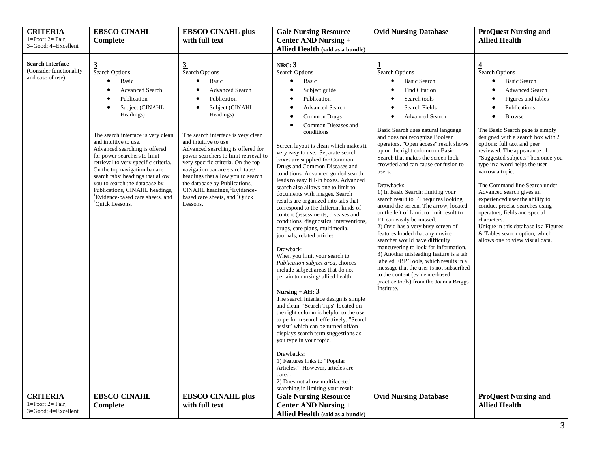| <b>CRITERIA</b><br>$1 = Poor$ ; $2 = Fair$ ;                           | <b>EBSCO CINAHL</b><br>Complete                                                                                                                                                                                                                                                                                                                                                                                                                                                                               | <b>EBSCO CINAHL plus</b><br>with full text                                                                                                                                                                                                                                                                                                                                                                                                                                                                          | <b>Gale Nursing Resource</b><br><b>Center AND Nursing +</b>                                                                                                                                                                                                                                                                                                                                                                                                                                                                                                                                                                                                                                                                                                                                                                                                                                                                                                                                                                                                                                                                                                                                                                                                                                  | <b>Ovid Nursing Database</b>                                                                                                                                                                                                                                                                                                                                                                                                                                                                                                                                                                                                                                                                                                                                                                                                                                                                                                                                                                        | <b>ProQuest Nursing and</b><br><b>Allied Health</b>                                                                                                                                                                                                                                                                                                                                                                                                                                                                                                                                                                                                                        |
|------------------------------------------------------------------------|---------------------------------------------------------------------------------------------------------------------------------------------------------------------------------------------------------------------------------------------------------------------------------------------------------------------------------------------------------------------------------------------------------------------------------------------------------------------------------------------------------------|---------------------------------------------------------------------------------------------------------------------------------------------------------------------------------------------------------------------------------------------------------------------------------------------------------------------------------------------------------------------------------------------------------------------------------------------------------------------------------------------------------------------|----------------------------------------------------------------------------------------------------------------------------------------------------------------------------------------------------------------------------------------------------------------------------------------------------------------------------------------------------------------------------------------------------------------------------------------------------------------------------------------------------------------------------------------------------------------------------------------------------------------------------------------------------------------------------------------------------------------------------------------------------------------------------------------------------------------------------------------------------------------------------------------------------------------------------------------------------------------------------------------------------------------------------------------------------------------------------------------------------------------------------------------------------------------------------------------------------------------------------------------------------------------------------------------------|-----------------------------------------------------------------------------------------------------------------------------------------------------------------------------------------------------------------------------------------------------------------------------------------------------------------------------------------------------------------------------------------------------------------------------------------------------------------------------------------------------------------------------------------------------------------------------------------------------------------------------------------------------------------------------------------------------------------------------------------------------------------------------------------------------------------------------------------------------------------------------------------------------------------------------------------------------------------------------------------------------|----------------------------------------------------------------------------------------------------------------------------------------------------------------------------------------------------------------------------------------------------------------------------------------------------------------------------------------------------------------------------------------------------------------------------------------------------------------------------------------------------------------------------------------------------------------------------------------------------------------------------------------------------------------------------|
| $3 = Good$ ; $4 = Excel$ lent                                          |                                                                                                                                                                                                                                                                                                                                                                                                                                                                                                               |                                                                                                                                                                                                                                                                                                                                                                                                                                                                                                                     | Allied Health (sold as a bundle)                                                                                                                                                                                                                                                                                                                                                                                                                                                                                                                                                                                                                                                                                                                                                                                                                                                                                                                                                                                                                                                                                                                                                                                                                                                             |                                                                                                                                                                                                                                                                                                                                                                                                                                                                                                                                                                                                                                                                                                                                                                                                                                                                                                                                                                                                     |                                                                                                                                                                                                                                                                                                                                                                                                                                                                                                                                                                                                                                                                            |
| <b>Search Interface</b><br>(Consider functionality<br>and ease of use) | $\frac{3}{5}$ Search Options<br>Basic<br><b>Advanced Search</b><br>Publication<br>Subject (CINAHL<br>Headings)<br>The search interface is very clean<br>and intuitive to use.<br>Advanced searching is offered<br>for power searchers to limit<br>retrieval to very specific criteria.<br>On the top navigation bar are<br>search tabs/ headings that allow<br>you to search the database by<br>Publications, CINAHL headings,<br><sup>1</sup> Evidence-based care sheets, and<br><sup>2</sup> Quick Lessons. | $\frac{3}{\text{Search Options}}$<br>Basic<br><b>Advanced Search</b><br>Publication<br>Subject (CINAHL<br>Headings)<br>The search interface is very clean<br>and intuitive to use.<br>Advanced searching is offered for<br>power searchers to limit retrieval to<br>very specific criteria. On the top<br>navigation bar are search tabs/<br>headings that allow you to search<br>the database by Publications,<br>CINAHL headings, <sup>1</sup> Evidence-<br>based care sheets, and <sup>2</sup> Quick<br>Lessons. | NRC: 3<br><b>Search Options</b><br>Basic<br>Subject guide<br>Publication<br><b>Advanced Search</b><br>Common Drugs<br>Common Diseases and<br>conditions<br>Screen layout is clean which makes it<br>very easy to use. Separate search<br>boxes are supplied for Common<br>Drugs and Common Diseases and<br>conditions. Advanced guided search<br>leads to easy fill-in boxes. Advanced<br>search also allows one to limit to<br>documents with images. Search<br>results are organized into tabs that<br>correspond to the different kinds of<br>content (assessments, diseases and<br>conditions, diagnostics, interventions,<br>drugs, care plans, multimedia,<br>journals, related articles<br>Drawback:<br>When you limit your search to<br>Publication subject area, choices<br>include subject areas that do not<br>pertain to nursing/allied health.<br>Nursing + AH: $3$<br>The search interface design is simple<br>and clean. "Search Tips" located on<br>the right column is helpful to the user<br>to perform search effectively. "Search<br>assist" which can be turned off/on<br>displays search term suggestions as<br>you type in your topic.<br>Drawbacks:<br>1) Features links to "Popular<br>Articles." However, articles are<br>dated.<br>2) Does not allow multifaceted | $\frac{1}{2}$ Search Options<br><b>Basic Search</b><br>$\bullet$<br><b>Find Citation</b><br>Search tools<br>Search Fields<br>٠<br><b>Advanced Search</b><br>$\bullet$<br>Basic Search uses natural language<br>and does not recognize Boolean<br>operators. "Open access" result shows<br>up on the right column on Basic<br>Search that makes the screen look<br>crowded and can cause confusion to<br>users.<br>Drawbacks:<br>1) In Basic Search: limiting your<br>search result to FT requires looking<br>around the screen. The arrow, located<br>on the left of Limit to limit result to<br>FT can easily be missed.<br>2) Ovid has a very busy screen of<br>features loaded that any novice<br>searcher would have difficulty<br>maneuvering to look for information.<br>3) Another misleading feature is a tab<br>labeled EBP Tools, which results in a<br>message that the user is not subscribed<br>to the content (evidence-based<br>practice tools) from the Joanna Briggs<br>Institute. | $\overline{4}$<br>Search Options<br><b>Basic Search</b><br>٠<br><b>Advanced Search</b><br>Figures and tables<br>Publications<br><b>Browse</b><br>The Basic Search page is simply<br>designed with a search box with 2<br>options: full text and peer<br>reviewed. The appearance of<br>"Suggested subjects" box once you<br>type in a word helps the user<br>narrow a topic.<br>The Command line Search under<br>Advanced search gives an<br>experienced user the ability to<br>conduct precise searches using<br>operators, fields and special<br>characters.<br>Unique in this database is a Figures<br>& Tables search option, which<br>allows one to view visual data. |
| <b>CRITERIA</b>                                                        | <b>EBSCO CINAHL</b>                                                                                                                                                                                                                                                                                                                                                                                                                                                                                           | <b>EBSCO CINAHL plus</b>                                                                                                                                                                                                                                                                                                                                                                                                                                                                                            | searching in limiting your result.<br><b>Gale Nursing Resource</b>                                                                                                                                                                                                                                                                                                                                                                                                                                                                                                                                                                                                                                                                                                                                                                                                                                                                                                                                                                                                                                                                                                                                                                                                                           | <b>Ovid Nursing Database</b>                                                                                                                                                                                                                                                                                                                                                                                                                                                                                                                                                                                                                                                                                                                                                                                                                                                                                                                                                                        | <b>ProQuest Nursing and</b>                                                                                                                                                                                                                                                                                                                                                                                                                                                                                                                                                                                                                                                |
| $1 = Poor$ ; $2 = Fair$ ;                                              | Complete                                                                                                                                                                                                                                                                                                                                                                                                                                                                                                      | with full text                                                                                                                                                                                                                                                                                                                                                                                                                                                                                                      | Center AND Nursing +                                                                                                                                                                                                                                                                                                                                                                                                                                                                                                                                                                                                                                                                                                                                                                                                                                                                                                                                                                                                                                                                                                                                                                                                                                                                         |                                                                                                                                                                                                                                                                                                                                                                                                                                                                                                                                                                                                                                                                                                                                                                                                                                                                                                                                                                                                     | <b>Allied Health</b>                                                                                                                                                                                                                                                                                                                                                                                                                                                                                                                                                                                                                                                       |
| 3=Good; 4=Excellent                                                    |                                                                                                                                                                                                                                                                                                                                                                                                                                                                                                               |                                                                                                                                                                                                                                                                                                                                                                                                                                                                                                                     | Allied Health (sold as a bundle)                                                                                                                                                                                                                                                                                                                                                                                                                                                                                                                                                                                                                                                                                                                                                                                                                                                                                                                                                                                                                                                                                                                                                                                                                                                             |                                                                                                                                                                                                                                                                                                                                                                                                                                                                                                                                                                                                                                                                                                                                                                                                                                                                                                                                                                                                     |                                                                                                                                                                                                                                                                                                                                                                                                                                                                                                                                                                                                                                                                            |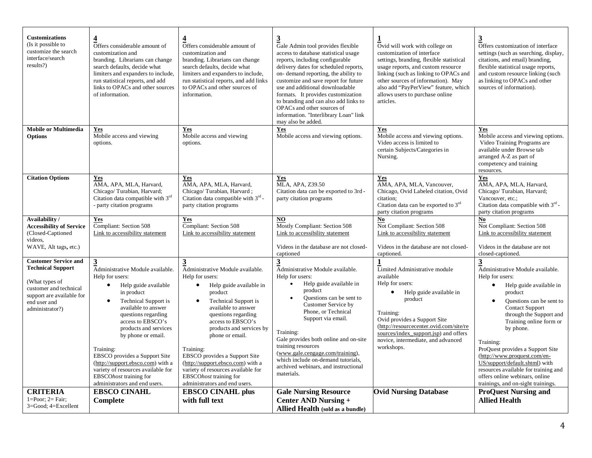| <b>Customizations</b><br>(Is it possible to<br>customize the search<br>interface/search<br>results?)                                                                                                                                                                                                                                                                                                                                                                                                                                                                                                                                                                                                                                                                                                                                                                                                                                                                                                                                                                                           | $\overline{\mathbf{4}}$<br>Offers considerable amount of<br>customization and<br>branding. Librarians can change<br>search defaults, decide what<br>limiters and expanders to include,<br>run statistical reports, and add<br>links to OPACs and other sources<br>of information. | $\overline{\mathbf{4}}$<br>Offers considerable amount of<br>customization and<br>branding. Librarians can change<br>search defaults, decide what<br>limiters and expanders to include,<br>run statistical reports, and add links<br>to OPACs and other sources of<br>information.                                                                                                                                                    | $\overline{3}$<br>Gale Admin tool provides flexible<br>access to database statistical usage<br>reports, including configurable<br>delivery dates for scheduled reports,<br>on-demand reporting, the ability to<br>customize and save report for future<br>use and additional downloadable<br>formats. It provides customization<br>to branding and can also add links to<br>OPACs and other sources of<br>information. "Interlibrary Loan" link<br>may also be added. | Ovid will work with college on<br>customization of interface<br>settings, branding, flexible statistical<br>usage reports, and custom resource<br>linking (such as linking to OPACs and<br>other sources of information). May<br>also add "PayPerView" feature, which<br>allows users to purchase online<br>articles.                                                                                                                                                                | $\overline{3}$<br>Offers customization of interface<br>settings (such as searching, display,<br>citations, and email) branding,<br>flexible statistical usage reports,<br>and custom resource linking (such<br>as linking to OPACs and other<br>sources of information). |
|------------------------------------------------------------------------------------------------------------------------------------------------------------------------------------------------------------------------------------------------------------------------------------------------------------------------------------------------------------------------------------------------------------------------------------------------------------------------------------------------------------------------------------------------------------------------------------------------------------------------------------------------------------------------------------------------------------------------------------------------------------------------------------------------------------------------------------------------------------------------------------------------------------------------------------------------------------------------------------------------------------------------------------------------------------------------------------------------|-----------------------------------------------------------------------------------------------------------------------------------------------------------------------------------------------------------------------------------------------------------------------------------|--------------------------------------------------------------------------------------------------------------------------------------------------------------------------------------------------------------------------------------------------------------------------------------------------------------------------------------------------------------------------------------------------------------------------------------|-----------------------------------------------------------------------------------------------------------------------------------------------------------------------------------------------------------------------------------------------------------------------------------------------------------------------------------------------------------------------------------------------------------------------------------------------------------------------|--------------------------------------------------------------------------------------------------------------------------------------------------------------------------------------------------------------------------------------------------------------------------------------------------------------------------------------------------------------------------------------------------------------------------------------------------------------------------------------|--------------------------------------------------------------------------------------------------------------------------------------------------------------------------------------------------------------------------------------------------------------------------|
| <b>Mobile or Multimedia</b><br><b>Options</b>                                                                                                                                                                                                                                                                                                                                                                                                                                                                                                                                                                                                                                                                                                                                                                                                                                                                                                                                                                                                                                                  | Yes<br>Yes<br>Mobile access and viewing<br>Mobile access and viewing<br>options.<br>options.                                                                                                                                                                                      |                                                                                                                                                                                                                                                                                                                                                                                                                                      | Yes<br>Mobile access and viewing options.                                                                                                                                                                                                                                                                                                                                                                                                                             | Yes<br>Mobile access and viewing options.<br>Video access is limited to<br>certain Subjects/Categories in<br>Nursing.                                                                                                                                                                                                                                                                                                                                                                | Yes<br>Mobile access and viewing options.<br>Video Training Programs are<br>available under Browse tab<br>arranged A-Z as part of<br>competency and training<br>resources.                                                                                               |
| <b>Citation Options</b>                                                                                                                                                                                                                                                                                                                                                                                                                                                                                                                                                                                                                                                                                                                                                                                                                                                                                                                                                                                                                                                                        | Yes<br>AMA, APA, MLA, Harvard,<br>Chicago/Turabian, Harvard;<br>Citation data compatible with 3rd<br>- party citation programs                                                                                                                                                    | Yes<br>AMA, APA, MLA, Harvard,<br>Chicago/Turabian, Harvard;<br>Citation data compatible with 3rd -<br>party citation programs                                                                                                                                                                                                                                                                                                       | Yes<br>MLA, APA, Z39.50<br>Citation data can be exported to 3rd -<br>party citation programs                                                                                                                                                                                                                                                                                                                                                                          | Yes<br>AMA, APA, MLA, Vancouver,<br>Chicago, Ovid Labeled citation, Ovid<br>citation:<br>Citation data can be exported to 3rd<br>party citation programs                                                                                                                                                                                                                                                                                                                             | Yes<br>AMA, APA, MLA, Harvard,<br>Chicago/Turabian, Harvard;<br>Vancouver, etc.;<br>Citation data compatible with 3rd -<br>party citation programs                                                                                                                       |
| Availability/<br><b>Accessibility of Service</b><br>(Closed-Captioned<br>videos.<br>WAVE, Alt tags, etc.)                                                                                                                                                                                                                                                                                                                                                                                                                                                                                                                                                                                                                                                                                                                                                                                                                                                                                                                                                                                      | Yes<br>Compliant: Section 508<br>Link to accessibility statement                                                                                                                                                                                                                  | Yes<br>Compliant: Section 508<br>Link to accessibility statement                                                                                                                                                                                                                                                                                                                                                                     | NO<br>Mostly Compliant: Section 508<br>Link to accessibility statement<br>Videos in the database are not closed-<br>captioned                                                                                                                                                                                                                                                                                                                                         | No<br>Not Compliant: Section 508<br>Link to accessibility statement<br>Videos in the database are not closed-<br>captioned.                                                                                                                                                                                                                                                                                                                                                          | $\underline{\mathbf{No}}$<br>Not Compliant: Section 508<br>Link to accessibility statement<br>Videos in the database are not<br>closed-captioned.                                                                                                                        |
| <b>Customer Service and</b><br>3<br>Administrative Module available.<br>3<br><b>Technical Support</b><br>Administrative Module available.<br>Help for users:<br>Help for users:<br>(What types of<br>$\bullet$<br>Help guide available<br>$\bullet$<br>Help guide available in<br>customer and technical<br>in product<br>product<br>support are available for<br><b>Technical Support is</b><br>Technical Support is<br>$\bullet$<br>$\bullet$<br>end user and<br>available to answer<br>available to answer<br>administrator?)<br>questions regarding<br>questions regarding<br>access to EBSCO's<br>access to EBSCO's<br>products and services<br>products and services by<br>phone or email.<br>by phone or email.<br>Training:<br>Training:<br>EBSCO provides a Support Site<br>EBSCO provides a Support Site<br>(http://support.ebsco.com) with a<br>(http://support.ebsco.com) with a<br>variety of resources available for<br>variety of resources available for<br>EBSCOhost training for<br>EBSCOhost training for<br>administrators and end users.<br>administrators and end users. |                                                                                                                                                                                                                                                                                   | $\overline{3}$<br>Administrative Module available.<br>Help for users:<br>Help guide available in<br>$\bullet$<br>product<br>Questions can be sent to<br>Customer Service by<br>Phone, or Technical<br>Support via email.<br>Training:<br>Gale provides both online and on-site<br>training resources<br>(www.gale.cengage.com/training),<br>which include on-demand tutorials,<br>archived webinars, and instructional<br>materials. | $\mathbf{1}$<br>Limited Administrative module<br>available<br>Help for users:<br>$\bullet$<br>Help guide available in<br>product<br>Training:<br>Ovid provides a Support Site<br>(http://resourcecenter.ovid.com/site/re<br>sources/index_support.jsp) and offers<br>novice, intermediate, and advanced<br>workshops.                                                                                                                                                 | $\overline{3}$<br>Administrative Module available.<br>Help for users:<br>Help guide available in<br>$\bullet$<br>product<br>Questions can be sent to<br><b>Contact Support</b><br>through the Support and<br>Training online form or<br>by phone.<br>Training:<br>ProQuest provides a Support Site<br>(http://www.proquest.com/en-<br>US/support/default.shtml) with<br>resources available for training and<br>offers online webinars, online<br>trainings, and on-sight trainings. |                                                                                                                                                                                                                                                                          |
| <b>CRITERIA</b><br>$1 = Poor$ : $2 = Fair$ :<br>3=Good; 4=Excellent                                                                                                                                                                                                                                                                                                                                                                                                                                                                                                                                                                                                                                                                                                                                                                                                                                                                                                                                                                                                                            | <b>EBSCO CINAHL</b><br>Complete                                                                                                                                                                                                                                                   | <b>EBSCO CINAHL plus</b><br>with full text                                                                                                                                                                                                                                                                                                                                                                                           | <b>Gale Nursing Resource</b><br><b>Center AND Nursing +</b><br>Allied Health (sold as a bundle)                                                                                                                                                                                                                                                                                                                                                                       | <b>Ovid Nursing Database</b>                                                                                                                                                                                                                                                                                                                                                                                                                                                         | <b>ProQuest Nursing and</b><br><b>Allied Health</b>                                                                                                                                                                                                                      |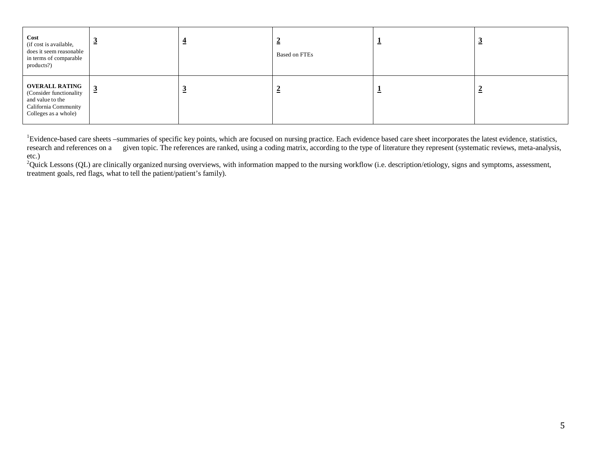| Cost<br>(if cost is available,<br>does it seem reasonable<br>in terms of comparable<br>products?)                     | $\mathbf{2}$   | <b>Based on FTEs</b> | ÷ | ั≃ |
|-----------------------------------------------------------------------------------------------------------------------|----------------|----------------------|---|----|
| <b>OVERALL RATING</b><br>(Consider functionality)<br>and value to the<br>California Community<br>Colleges as a whole) | $\overline{3}$ |                      | ÷ | ≃  |

<sup>1</sup>Evidence-based care sheets –summaries of specific key points, which are focused on nursing practice. Each evidence based care sheet incorporates the latest evidence, statistics, research and references on a given topic. The references are ranked, using a coding matrix, according to the type of literature they represent (systematic reviews, meta-analysis, etc.)

 ${}^{2}$ Quick Lessons (QL) are clinically organized nursing overviews, with information mapped to the nursing workflow (i.e. description/etiology, signs and symptoms, assessment, treatment goals, red flags, what to tell the patient/patient's family).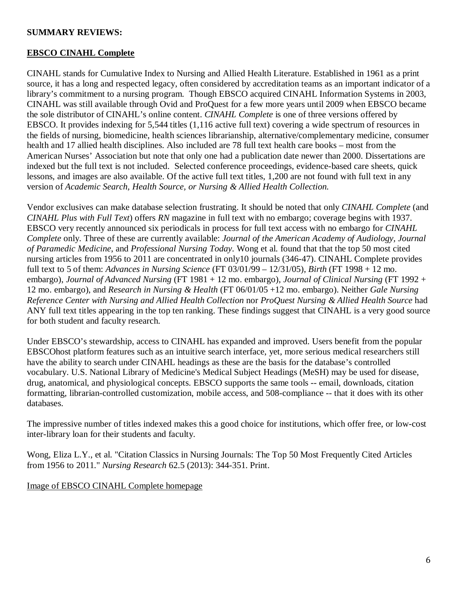## **SUMMARY REVIEWS:**

## **EBSCO CINAHL Complete**

CINAHL stands for Cumulative Index to Nursing and Allied Health Literature. Established in 1961 as a print source, it has a long and respected legacy, often considered by accreditation teams as an important indicator of a library's commitment to a nursing program. Though EBSCO acquired CINAHL Information Systems in 2003, CINAHL was still available through Ovid and ProQuest for a few more years until 2009 when EBSCO became the sole distributor of CINAHL's online content. *CINAHL Complete* is one of three versions offered by EBSCO. It provides indexing for 5,544 titles (1,116 active full text) covering a wide spectrum of resources in the fields of nursing, biomedicine, health sciences librarianship, alternative/complementary medicine, consumer health and 17 allied health disciplines. Also included are 78 full text health care books – most from the American Nurses' Association but note that only one had a publication date newer than 2000. Dissertations are indexed but the full text is not included. Selected conference proceedings, evidence-based care sheets, quick lessons, and images are also available. Of the active full text titles, 1,200 are not found with full text in any version of *Academic Search, Health Source, or Nursing & Allied Health Collection.*

Vendor exclusives can make database selection frustrating. It should be noted that only *CINAHL Complete* (and *CINAHL Plus with Full Text*) offers *RN* magazine in full text with no embargo; coverage begins with 1937. EBSCO very recently announced six periodicals in process for full text access with no embargo for *CINAHL Complete* only. Three of these are currently available: *Journal of the American Academy of Audiology, Journal of Paramedic Medicine*, and *Professional Nursing Today*. Wong et al. found that that the top 50 most cited nursing articles from 1956 to 2011 are concentrated in only10 journals (346-47). CINAHL Complete provides full text to 5 of them: *Advances in Nursing Science* (FT 03/01/99 – 12/31/05), *Birth* (FT 1998 + 12 mo. embargo), *Journal of Advanced Nursing* (FT 1981 + 12 mo. embargo), *Journal of Clinical Nursing* (FT 1992 + 12 mo. embargo), and *Research in Nursing & Health* (FT 06/01/05 +12 mo. embargo). Neither *Gale Nursing Reference Center with Nursing and Allied Health Collection* nor *ProQuest Nursing & Allied Health Source* had ANY full text titles appearing in the top ten ranking. These findings suggest that CINAHL is a very good source for both student and faculty research.

Under EBSCO's stewardship, access to CINAHL has expanded and improved. Users benefit from the popular EBSCOhost platform features such as an intuitive search interface, yet, more serious medical researchers still have the ability to search under CINAHL headings as these are the basis for the database's controlled vocabulary. U.S. National Library of Medicine's Medical Subject Headings (MeSH) may be used for disease, drug, anatomical, and physiological concepts. EBSCO supports the same tools -- email, downloads, citation formatting, librarian-controlled customization, mobile access, and 508-compliance -- that it does with its other databases.

The impressive number of titles indexed makes this a good choice for institutions, which offer free, or low-cost inter-library loan for their students and faculty.

Wong, Eliza L.Y., et al. "Citation Classics in Nursing Journals: The Top 50 Most Frequently Cited Articles from 1956 to 2011." *Nursing Research* 62.5 (2013): 344-351. Print.

### Image of EBSCO CINAHL Complete homepage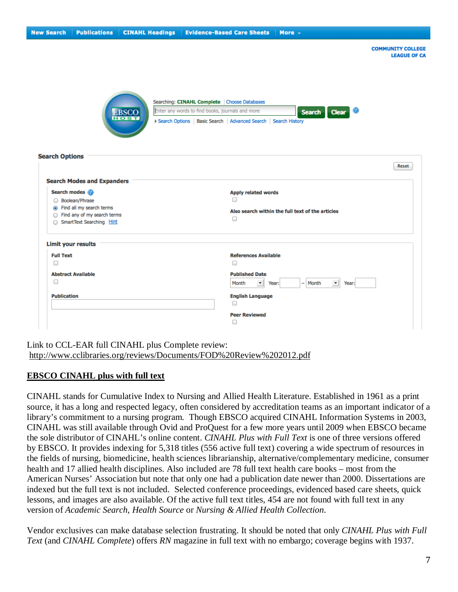| <b>New Search</b>                                  | <b>Publications</b>                                                                                                                                            | <b>CINAHL Headings</b>      | <b>Evidence-Based Care Sheets</b>                                                                                                                                     | More $\sim$                                      |
|----------------------------------------------------|----------------------------------------------------------------------------------------------------------------------------------------------------------------|-----------------------------|-----------------------------------------------------------------------------------------------------------------------------------------------------------------------|--------------------------------------------------|
|                                                    |                                                                                                                                                                |                             |                                                                                                                                                                       | <b>COMMUNITY COLLEGE</b><br><b>LEAGUE OF CA</b>  |
|                                                    |                                                                                                                                                                | <b>EBSCO</b><br><b>HOST</b> | Searching: CINAHL Complete Choose Databases<br>Enter any words to find books, journals and more<br>> Search Options   Basic Search   Advanced Search   Search History | Ø<br><b>Search</b><br><b>Clear</b>               |
| <b>Search Options</b>                              |                                                                                                                                                                |                             |                                                                                                                                                                       | Reset                                            |
|                                                    | <b>Search Modes and Expanders</b><br>Search modes<br>Boolean/Phrase<br>● Find all my search terms<br>○ Find any of my search terms<br>SmartText Searching Hint |                             | Apply related words<br>0<br>$\Box$                                                                                                                                    | Also search within the full text of the articles |
| <b>Limit your results</b><br><b>Full Text</b><br>□ |                                                                                                                                                                |                             | <b>References Available</b>                                                                                                                                           |                                                  |
| ⊟                                                  | <b>Abstract Available</b>                                                                                                                                      |                             | $\Box$<br><b>Published Date</b><br>$\scriptstyle\bullet$<br>Month                                                                                                     | $-$ Month<br>$\blacksquare$<br>Year:<br>Year:    |
| <b>Publication</b>                                 |                                                                                                                                                                |                             | <b>English Language</b><br>$\Box$<br><b>Peer Reviewed</b><br>0                                                                                                        |                                                  |

Link to CCL-EAR full CINAHL plus Complete review: <http://www.cclibraries.org/reviews/Documents/FOD%20Review%202012.pdf>

## **EBSCO CINAHL plus with full text**

CINAHL stands for Cumulative Index to Nursing and Allied Health Literature. Established in 1961 as a print source, it has a long and respected legacy, often considered by accreditation teams as an important indicator of a library's commitment to a nursing program. Though EBSCO acquired CINAHL Information Systems in 2003, CINAHL was still available through Ovid and ProQuest for a few more years until 2009 when EBSCO became the sole distributor of CINAHL's online content. *CINAHL Plus with Full Text* is one of three versions offered by EBSCO. It provides indexing for 5,318 titles (556 active full text) covering a wide spectrum of resources in the fields of nursing, biomedicine, health sciences librarianship, alternative/complementary medicine, consumer health and 17 allied health disciplines. Also included are 78 full text health care books – most from the American Nurses' Association but note that only one had a publication date newer than 2000. Dissertations are indexed but the full text is not included. Selected conference proceedings, evidenced based care sheets, quick lessons, and images are also available. Of the active full text titles, 454 are not found with full text in any version of *Academic Search*, *Health Source* or *Nursing & Allied Health Collection*.

Vendor exclusives can make database selection frustrating. It should be noted that only *CINAHL Plus with Full Text* (and *CINAHL Complete*) offers *RN* magazine in full text with no embargo; coverage begins with 1937.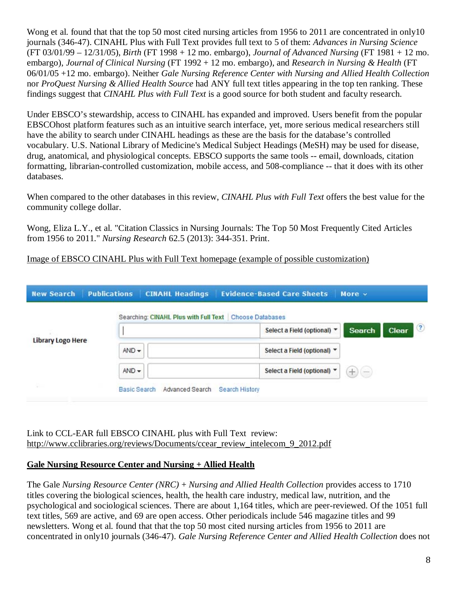Wong et al. found that that the top 50 most cited nursing articles from 1956 to 2011 are concentrated in only10 journals (346-47). CINAHL Plus with Full Text provides full text to 5 of them: *Advances in Nursing Science* (FT 03/01/99 – 12/31/05), *Birth* (FT 1998 + 12 mo. embargo), *Journal of Advanced Nursing* (FT 1981 + 12 mo. embargo), *Journal of Clinical Nursing* (FT 1992 + 12 mo. embargo), and *Research in Nursing & Health* (FT 06/01/05 +12 mo. embargo). Neither *Gale Nursing Reference Center with Nursing and Allied Health Collection* nor *ProQuest Nursing & Allied Health Source* had ANY full text titles appearing in the top ten ranking. These findings suggest that *CINAHL Plus with Full Text* is a good source for both student and faculty research.

Under EBSCO's stewardship, access to CINAHL has expanded and improved. Users benefit from the popular EBSCOhost platform features such as an intuitive search interface, yet, more serious medical researchers still have the ability to search under CINAHL headings as these are the basis for the database's controlled vocabulary. U.S. National Library of Medicine's Medical Subject Headings (MeSH) may be used for disease, drug, anatomical, and physiological concepts. EBSCO supports the same tools -- email, downloads, citation formatting, librarian-controlled customization, mobile access, and 508-compliance -- that it does with its other databases.

When compared to the other databases in this review, *CINAHL Plus with Full Text* offers the best value for the community college dollar.

Wong, Eliza L.Y., et al. "Citation Classics in Nursing Journals: The Top 50 Most Frequently Cited Articles from 1956 to 2011." *Nursing Research* 62.5 (2013): 344-351. Print.

Image of EBSCO CINAHL Plus with Full Text homepage (example of possible customization)

| <b>New Search</b>        | <b>Publications</b><br><b>CINAHL Headings</b>          | <b>Evidence-Based Care Sheets</b><br>More $\sim$           |
|--------------------------|--------------------------------------------------------|------------------------------------------------------------|
|                          | Searching: CINAHL Plus with Full Text Choose Databases |                                                            |
| <b>Library Logo Here</b> |                                                        | $\bf{C}$<br>Clear<br>Search<br>Select a Field (optional) * |
|                          | $AND -$                                                | Select a Field (optional) *                                |
|                          | $AND -$                                                | Select a Field (optional) *<br>$^{+}$<br>e                 |
| 匙                        | Advanced Search<br><b>Basic Search</b>                 | Search History                                             |

Link to CCL-EAR full EBSCO CINAHL plus with Full Text review: [http://www.cclibraries.org/reviews/Documents/ccear\\_review\\_intelecom\\_9\\_2012.pdf](http://www.cclibraries.org/reviews/Documents/ccear_review_intelecom_9_2012.pdf)

## **Gale Nursing Resource Center and Nursing + Allied Health**

The Gale *Nursing Resource Center (NRC)* + *Nursing and Allied Health Collection* provides access to 1710 titles covering the biological sciences, health, the health care industry, medical law, nutrition, and the psychological and sociological sciences. There are about 1,164 titles, which are peer-reviewed. Of the 1051 full text titles, 569 are active, and 69 are open access. Other periodicals include 546 magazine titles and 99 newsletters. Wong et al. found that that the top 50 most cited nursing articles from 1956 to 2011 are concentrated in only10 journals (346-47). *Gale Nursing Reference Center and Allied Health Collection* does not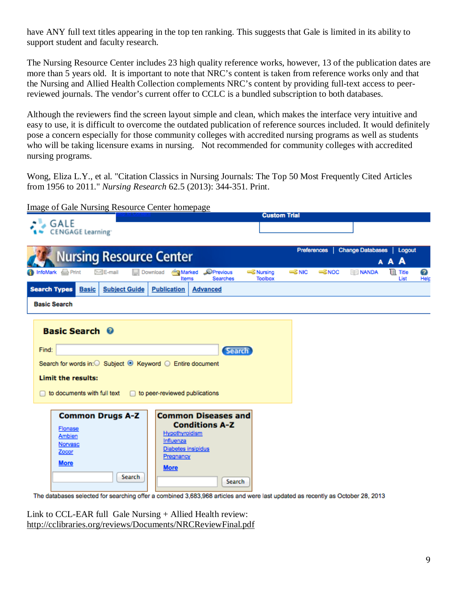have ANY full text titles appearing in the top ten ranking. This suggests that Gale is limited in its ability to support student and faculty research.

The Nursing Resource Center includes 23 high quality reference works, however, 13 of the publication dates are more than 5 years old. It is important to note that NRC's content is taken from reference works only and that the Nursing and Allied Health Collection complements NRC's content by providing full-text access to peerreviewed journals. The vendor's current offer to CCLC is a bundled subscription to both databases.

Although the reviewers find the screen layout simple and clean, which makes the interface very intuitive and easy to use, it is difficult to overcome the outdated publication of reference sources included. It would definitely pose a concern especially for those community colleges with accredited nursing programs as well as students who will be taking licensure exams in nursing. Not recommended for community colleges with accredited nursing programs.

Wong, Eliza L.Y., et al. "Citation Classics in Nursing Journals: The Top 50 Most Frequently Cited Articles from 1956 to 2011." *Nursing Research* 62.5 (2013): 344-351. Print.

Image of Gale Nursing Resource Center homepage

|                                                                                                                                                                                                                                                                                                                         |                                                                   |                                                                                            | <b>Custom Trial</b>                      |                              |                                       |                          |           |
|-------------------------------------------------------------------------------------------------------------------------------------------------------------------------------------------------------------------------------------------------------------------------------------------------------------------------|-------------------------------------------------------------------|--------------------------------------------------------------------------------------------|------------------------------------------|------------------------------|---------------------------------------|--------------------------|-----------|
| <b>GALE</b><br><b>CENGAGE Learning</b>                                                                                                                                                                                                                                                                                  |                                                                   |                                                                                            |                                          |                              |                                       |                          |           |
| <b>Nursing Resource Center</b>                                                                                                                                                                                                                                                                                          |                                                                   |                                                                                            |                                          | <b>Preferences</b>           | <b>Change Databases</b><br><b>AAA</b> | Logout                   |           |
| <b>Print</b><br><b>St</b> InfoMark<br>∑ <de-mail< th=""><th><b>Marked</b><br/>Download</th><th>Previous<br/>Items<br/><b>Searches</b></th><th><b>Example Service</b><br/><b>Toolbox</b></th><th><b>ERNIC</b><br/><b>ESNOC</b></th><th><b>NANDA</b></th><th><b>III</b> Title<br/>List</th><th>2<br/>Help</th></de-mail<> | <b>Marked</b><br>Download                                         | Previous<br>Items<br><b>Searches</b>                                                       | <b>Example Service</b><br><b>Toolbox</b> | <b>ERNIC</b><br><b>ESNOC</b> | <b>NANDA</b>                          | <b>III</b> Title<br>List | 2<br>Help |
| <b>Search Types</b><br><b>Subject Guide</b><br><b>Basic</b><br><b>Basic Search</b>                                                                                                                                                                                                                                      | <b>Publication</b>                                                | <b>Advanced</b>                                                                            |                                          |                              |                                       |                          |           |
|                                                                                                                                                                                                                                                                                                                         |                                                                   |                                                                                            |                                          |                              |                                       |                          |           |
| <b>Basic Search ©</b>                                                                                                                                                                                                                                                                                                   |                                                                   |                                                                                            |                                          |                              |                                       |                          |           |
| Find:<br>Search<br>Search for words in: O Subject <sup>⊙</sup> Keyword ○ Entire document                                                                                                                                                                                                                                |                                                                   |                                                                                            |                                          |                              |                                       |                          |           |
| Limit the results:                                                                                                                                                                                                                                                                                                      |                                                                   |                                                                                            |                                          |                              |                                       |                          |           |
| to documents with full text                                                                                                                                                                                                                                                                                             | to peer-reviewed publications                                     |                                                                                            |                                          |                              |                                       |                          |           |
| <b>Common Drugs A-Z</b><br>Flonase<br>Ambien<br>Norvasc<br>Zocor<br><b>More</b><br>The deteheees selected for searching offer a combined 3,683,968 articles and were last undeted as recently as October 28, 2013.                                                                                                      | Hypothyroidism<br>Influenza<br>Pregnancy<br><b>More</b><br>Search | <b>Common Diseases and</b><br><b>Conditions A-Z</b><br><b>Diabetes insipidus</b><br>Search |                                          |                              |                                       |                          |           |

for searching offer a combined 3,683,968 articles and were last updated as recently as October 28, 2013

Link to CCL-EAR full Gale Nursing + Allied Health review: <http://cclibraries.org/reviews/Documents/NRCReviewFinal.pdf>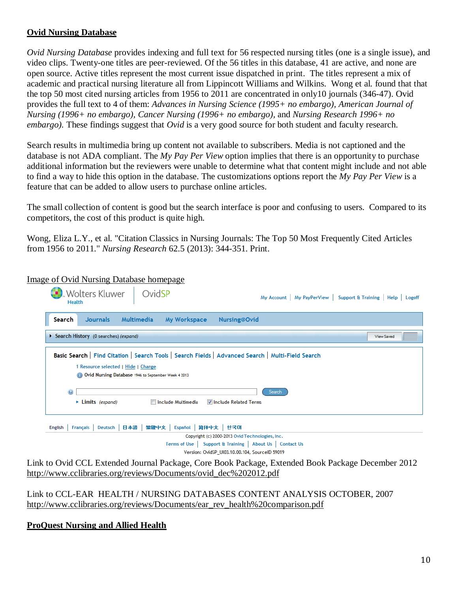# **Ovid Nursing Database**

*Ovid Nursing Database* provides indexing and full text for 56 respected nursing titles (one is a single issue), and video clips. Twenty-one titles are peer-reviewed. Of the 56 titles in this database, 41 are active, and none are open source. Active titles represent the most current issue dispatched in print. The titles represent a mix of academic and practical nursing literature all from Lippincott Williams and Wilkins. Wong et al. found that that the top 50 most cited nursing articles from 1956 to 2011 are concentrated in only10 journals (346-47). Ovid provides the full text to 4 of them: *Advances in Nursing Science (1995+ no embargo), American Journal of Nursing (1996+ no embargo), Cancer Nursing (1996+ no embargo),* and *Nursing Research 1996+ no embargo).* These findings suggest that *Ovid* is a very good source for both student and faculty research.

Search results in multimedia bring up content not available to subscribers. Media is not captioned and the database is not ADA compliant. The *My Pay Per View* option implies that there is an opportunity to purchase additional information but the reviewers were unable to determine what that content might include and not able to find a way to hide this option in the database. The customizations options report the *My Pay Per View* is a feature that can be added to allow users to purchase online articles.

The small collection of content is good but the search interface is poor and confusing to users. Compared to its competitors, the cost of this product is quite high.

Wong, Eliza L.Y., et al. "Citation Classics in Nursing Journals: The Top 50 Most Frequently Cited Articles from 1956 to 2011." *Nursing Research* 62.5 (2013): 344-351. Print.

| <b>Wolters Kluwer</b><br>OvidSP<br><b>Health</b>                                                                                                                                                 | My Account   My PayPerView   Support & Training   Help   Logoff |  |  |  |  |  |
|--------------------------------------------------------------------------------------------------------------------------------------------------------------------------------------------------|-----------------------------------------------------------------|--|--|--|--|--|
| <b>Journals</b><br>Multimedia<br>Search<br>My Workspace                                                                                                                                          | <b>Nursing@Ovid</b>                                             |  |  |  |  |  |
| Search History (0 searches) (expand)                                                                                                                                                             | <b>View Saved</b>                                               |  |  |  |  |  |
| Basic Search   Find Citation   Search Tools   Search Fields   Advanced Search   Multi-Field Search<br>1 Resource selected   Hide   Change<br>Ovid Nursing Database 1946 to September Week 4 2013 |                                                                 |  |  |  |  |  |
| $\odot$<br>Search<br>$\triangleright$ Limits (expand)<br>Include Multimedia<br><b>▼ Include Related Terms</b>                                                                                    |                                                                 |  |  |  |  |  |
| Deutsch 日本語<br>繁體中文<br>Français<br><b>English</b>                                                                                                                                                | <b>Español   简体中文   한국머</b>                                     |  |  |  |  |  |
|                                                                                                                                                                                                  | Copyright (c) 2000-2013 Ovid Technologies, Inc.                 |  |  |  |  |  |
|                                                                                                                                                                                                  | Terms of Ilse Support & Training   About Ils   Contact Ils      |  |  |  |  |  |

Image of Ovid Nursing Database homepage

Version: OvidSP\_UI03.10.00.104, SourceID 59019

Link to Ovid CCL Extended Journal Package, Core Book Package, Extended Book Package December 2012 [http://www.cclibraries.org/reviews/Documents/ovid\\_dec%202012.pdf](http://www.cclibraries.org/reviews/Documents/ovid_dec%202012.pdf)

Link to CCL-EAR HEALTH / NURSING DATABASES CONTENT ANALYSIS OCTOBER, 2007 [http://www.cclibraries.org/reviews/Documents/ear\\_rev\\_health%20comparison.pdf](http://www.cclibraries.org/reviews/Documents/ear_rev_health%20comparison.pdf)

**ProQuest Nursing and Allied Health**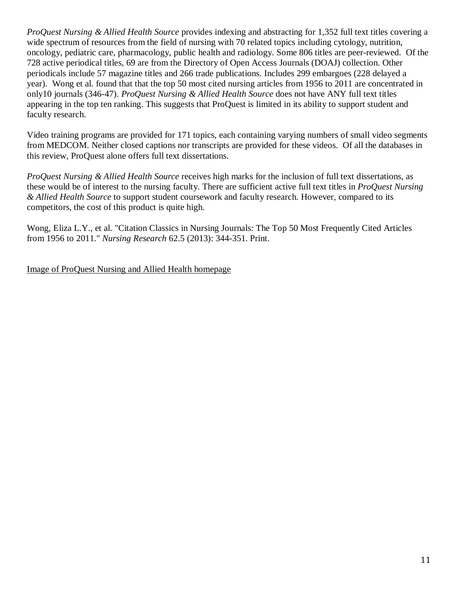*ProQuest Nursing & Allied Health Source* provides indexing and abstracting for 1,352 full text titles covering a wide spectrum of resources from the field of nursing with 70 related topics including cytology, nutrition, oncology, pediatric care, pharmacology, public health and radiology. Some 806 titles are peer-reviewed. Of the 728 active periodical titles, 69 are from the Directory of Open Access Journals (DOAJ) collection. Other periodicals include 57 magazine titles and 266 trade publications. Includes 299 embargoes (228 delayed a year). Wong et al. found that that the top 50 most cited nursing articles from 1956 to 2011 are concentrated in only10 journals (346-47). *ProQuest Nursing & Allied Health Source* does not have ANY full text titles appearing in the top ten ranking. This suggests that ProQuest is limited in its ability to support student and faculty research.

Video training programs are provided for 171 topics, each containing varying numbers of small video segments from MEDCOM. Neither closed captions nor transcripts are provided for these videos. Of all the databases in this review, ProQuest alone offers full text dissertations.

*ProQuest Nursing & Allied Health Source* receives high marks for the inclusion of full text dissertations, as these would be of interest to the nursing faculty. There are sufficient active full text titles in *ProQuest Nursing & Allied Health Source* to support student coursework and faculty research. However, compared to its competitors, the cost of this product is quite high.

Wong, Eliza L.Y., et al. "Citation Classics in Nursing Journals: The Top 50 Most Frequently Cited Articles from 1956 to 2011." *Nursing Research* 62.5 (2013): 344-351. Print.

Image of ProQuest Nursing and Allied Health homepage